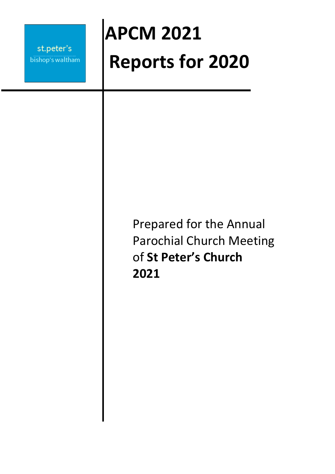# **APCM 2021 Reports for 2020**

## Prepared for the Annual Parochial Church Meeting of **St Peter's Church 2021**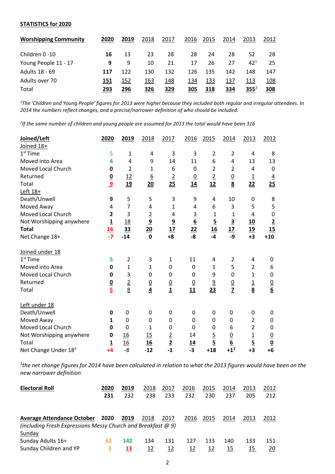#### **STATISTICS for 2020**

| <b>Worshipping Community</b> | 2020 | 2019 | 2018 | 2017 | 2016 | 2015 | 2014 | 2013     | 2012 |
|------------------------------|------|------|------|------|------|------|------|----------|------|
| Children 0 -10               | 16   | 13   | 23   | 28   | 28   | 24   | 28   | 52       | 28   |
| Young People 11 - 17         | 9    | 9    | 10   | 21   | 17   | 26   | 27   | $42^{1}$ | 25   |
| Adults 18 - 69               | 117  | 122  | 130  | 132  | 126  | 135  | 142  | 148      | 147  |
| Adults over 70               | 151  | 152  | 163  | 148  | 134  | 133  | 137  | 113      | 108  |
| Total                        | 293  | 296  | 326  | 329  | 305  | 318  | 334  | $355^2$  | 308  |

*<sup>1</sup>The 'Children and Young People' figures for 2013 were higher because they included both regular and irregular attendees. In 2014 the numbers reflect changes, and a precise/narrower definition of who should be included.*

*2 If the same number of children and young people are assumed for 2013 the total would have been 316*

| Joined/Left                      | 2020                    | 2019           | 2018           | 2017                    | 2016             | 2015                    | 2014                    | 2013                     | 2012                     |
|----------------------------------|-------------------------|----------------|----------------|-------------------------|------------------|-------------------------|-------------------------|--------------------------|--------------------------|
| Joined 18+                       |                         |                |                |                         |                  |                         |                         |                          |                          |
| $1st$ Time                       | 5                       | $\mathbf{1}$   | 4              | 3                       | 3                | $\overline{2}$          | $\overline{2}$          | 4                        | 8                        |
| Moved into Area                  | 4                       | 4              | 9              | 14                      | 11               | 6                       | 4                       | 13                       | 13                       |
| Moved Local Church               | 0                       | $\overline{2}$ | 1              | 6                       | $\mathbf 0$      | $\overline{2}$          | $\overline{2}$          | 4                        | $\pmb{0}$                |
| Returned                         |                         | 12             | <u>6</u>       | $\overline{2}$          | $\overline{0}$   | $\overline{2}$          | $\overline{0}$          | $\underline{\mathbf{1}}$ | $\overline{4}$           |
| Total                            | $\frac{0}{9}$           | 19             | 20             | 25                      | $\underline{14}$ | 12                      | $\overline{\mathbf{8}}$ | 22                       | 25                       |
| Left 18+                         |                         |                |                |                         |                  |                         |                         |                          |                          |
| Death/Unwell                     | 9                       | 5              | 5              | 3                       | 9                | 4                       | 10                      | 0                        | 8                        |
| Moved Away                       | 4                       | 7              | 4              | $\mathbf{1}$            | 4                | 6                       | 3                       | 5                        | 5                        |
| Moved Local Church               | $\overline{\mathbf{c}}$ | 3              | $\overline{2}$ | 4                       | 3                | $\mathbf{1}$            | 1                       | 4                        | $\mathbf 0$              |
| Not Worshipping anywhere         | $\overline{\mathbf{1}}$ | <u>18</u>      | $\overline{9}$ | $\overline{\mathbf{g}}$ | $\underline{6}$  | $\overline{\mathbf{5}}$ | $\overline{\mathbf{3}}$ | <u>10</u>                | $\overline{2}$           |
| <b>Total</b>                     | <u>16</u>               | 33             | 20             | 17                      |                  |                         | 17                      | <u>19</u>                | 15                       |
| Net Change 18+                   | $-7$                    | $-14$          | $\mathbf 0$    | $+8$                    | $\frac{22}{-8}$  | $\frac{16}{-4}$         | -9                      | $+3$                     | $+10$                    |
| Joined under 18                  |                         |                |                |                         |                  |                         |                         |                          |                          |
| $1st$ Time                       | 5                       | $\overline{2}$ | 3              | $\mathbf{1}$            | 11               | 4                       | $\overline{2}$          | 4                        | 0                        |
| Moved into Area                  | 0                       | $\mathbf{1}$   | $\mathbf 1$    | 0                       | $\mathbf 0$      | 1                       | 5                       | $\overline{2}$           | 6                        |
| Moved Local Church               | 0                       | 3              | 0              | 0                       | 0                | 9                       | 0                       | 1                        | 0                        |
| Returned                         |                         |                | $\overline{0}$ |                         | $\underline{0}$  | $\overline{9}$          | $\overline{0}$          | $\overline{1}$           |                          |
| Total                            | $\frac{0}{5}$           | $\frac{2}{8}$  | $\overline{4}$ | $\frac{0}{1}$           | 11               | 23                      | $\overline{z}$          | $\overline{\mathbf{8}}$  | $\frac{0}{6}$            |
| Left under 18                    |                         |                |                |                         |                  |                         |                         |                          |                          |
| Death/Unwell                     | 0                       | 0              | 0              | 0                       | 0                | 0                       | 0                       | 0                        | 0                        |
| Moved Away                       | 1                       | $\overline{0}$ | $\mathbf 0$    | 0                       | 0                | 0                       | 0                       | $\overline{2}$           | 0                        |
| Moved Local Church               | 0                       | $\overline{0}$ | $\mathbf 1$    | $\mathbf 0$             | $\mathbf 0$      | 0                       | 6                       | $\overline{2}$           | 0                        |
| Not Worshipping anywhere         | 0                       | 16             | 15             | $\overline{2}$          | 14               | $\overline{5}$          | $\overline{0}$          | $\overline{1}$           | $\overline{0}$           |
| Total                            | $\overline{1}$          | 16             | 16             | $\overline{2}$          | <u>14</u>        | $\overline{5}$          | $\frac{6}{+1^3}$        |                          | $\underline{\mathbf{0}}$ |
| Net Change Under 18 <sup>3</sup> | $+4$                    | $-8$           | $-12$          | $-1$                    | $-3$             | $+18$                   |                         | $\frac{5}{+3}$           | $+6$                     |

<sup>3</sup>the net change figures for 2014 have been calculated in relation to what the 2013 figures would have been on the *new narrower definition*

| <b>Electoral Roll</b>                                        | 2020 | 2019 | 2018 | 2017 | 2016 | 2015 | 2014 | 2013 | 2012 |
|--------------------------------------------------------------|------|------|------|------|------|------|------|------|------|
|                                                              | 231  | 232  | 238  | 233  | 232  | 230  | 237  | 205  | 212  |
|                                                              |      |      |      |      |      |      |      |      |      |
| <b>Average Attendance October</b>                            | 2020 | 2019 | 2018 | 2017 | 2016 | 2015 | 2014 | 2013 | 2012 |
| (including Fresh Expressions Messy Church and Breakfast @ 9) |      |      |      |      |      |      |      |      |      |
| Sunday                                                       |      |      |      |      |      |      |      |      |      |
| Sunday Adults 16+                                            | 62   | 142  | 134  | 131  | 127  | 133  | 140  | 133  | 151  |
| Sunday Children and YP                                       | З    | 13   | 12   | 12   | 12   | 12   | 15   | 15   | 20   |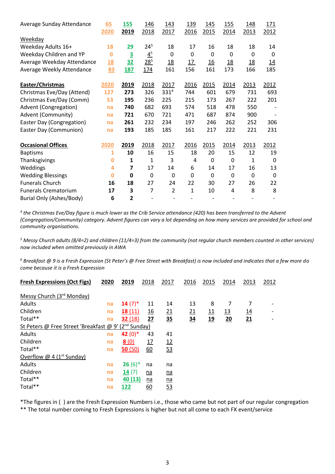| Average Sunday Attendance   | 65        | <b>155</b>              | 146            | <u>143</u>     | 139  | 145              | <b>155</b>       | 148         | <u>171</u>  |
|-----------------------------|-----------|-------------------------|----------------|----------------|------|------------------|------------------|-------------|-------------|
|                             | 2020      | 2019                    | 2018           | 2017           | 2016 | 2015             | 2014             | 2013        | 2012        |
| Weekday                     |           |                         |                |                |      |                  |                  |             |             |
| Weekday Adults 16+          | 18        | 29                      | $24^{5}$       | 18             | 17   | 16               | 18               | 18          | 14          |
| Weekday Children and YP     | $\bf{0}$  | $\overline{\mathbf{3}}$ | $4^5$          | 0              | 0    | 0                | $\mathbf{0}$     | 0           | 0           |
| Average Weekday Attendance  | <u>18</u> | <u>32</u>               | $28^{5}$       | <u>18</u>      | 17   | $\underline{16}$ | $\underline{18}$ | <u>18</u>   | <u> 14</u>  |
| Average Weekly Attendance   | 83        | <b>187</b>              | 174            | 161            | 156  | 161              | 173              | 166         | 185         |
| Easter/Christmas            | 2020      | 2019                    | 2018           | 2017           | 2016 | 2015             | 2014             | 2013        | 2012        |
| Christmas Eve/Day (Attend)  | 127       | 273                     | 326            | 3314           | 744  | 601              | 679              | 731         | 693         |
| Christmas Eve/Day (Comm)    | 53        | 195                     | 236            | 225            | 215  | 173              | 267              | 222         | 201         |
| Advent (Congregation)       | na        | 740                     | 682            | 693            | 574  | 518              | 478              | 550         |             |
| Advent (Community)          | na        | 721                     | 670            | 721            | 471  | 687              | 874              | 900         |             |
| Easter Day (Congregation)   | na        | 261                     | 232            | 234            | 197  | 246              | 262              | 252         | 306         |
| Easter Day (Communion)      | na        | 193                     | 185            | 185            | 161  | 217              | 222              | 221         | 231         |
| <b>Occasional Offices</b>   | 2020      | 2019                    | 2018           | 2017           | 2016 | 2015             | 2014             | 2013        | 2012        |
| <b>Baptisms</b>             | 1         | 10                      | 16             | 15             | 18   | 20               | 15               | 12          | 19          |
| Thanksgivings               | 0         | 1                       | $\mathbf{1}$   | 3              | 4    | 0                | 0                | 1           | 0           |
| Weddings                    | 4         | 7                       | 17             | 14             | 6    | 14               | 17               | 16          | 13          |
| <b>Wedding Blessings</b>    | $\bf{0}$  | $\mathbf 0$             | $\mathbf 0$    | 0              | 0    | $\mathbf 0$      | $\mathbf 0$      | $\mathbf 0$ | $\mathbf 0$ |
| <b>Funerals Church</b>      | 16        | 18                      | 27             | 24             | 22   | 30               | 27               | 26          | 22          |
| <b>Funerals Crematorium</b> | 17        | 3                       | $\overline{7}$ | $\overline{2}$ | 1    | 10               | 4                | 8           | 8           |
| Burial Only (Ashes/Body)    | 6         | 2                       |                |                |      |                  |                  |             |             |

*4 the Christmas Eve/Day figure is much lower as the Crib Service attendance (420) has been transferred to the Advent (Congregation/Community) category. Advent figures can vary a lot depending on how many services are provided for school and community organisations.*

*<sup>5</sup> Messy Church adults (8/4=2) and children (11/4=3) from the community (not regular church members counted in other services) now included when omitted previously in AWA*

*<sup>6</sup> Breakfast @ 9 is a Fresh Expression (St Peter's @ Free Street with Breakfast) is now included and indicates that a few more do come because it is a Fresh Expression*

| <b>Fresh Expressions (Oct Figs)</b>                              | 2020 | 2019                 | 2018             | 2017             | 2016       | 2015       | 2014       | 2013       | 2012                         |
|------------------------------------------------------------------|------|----------------------|------------------|------------------|------------|------------|------------|------------|------------------------------|
| Messy Church (3rd Monday)                                        |      |                      |                  |                  |            |            |            |            |                              |
| Adults                                                           | na   | $14(7)$ <sup>*</sup> | 11               | 14               | 13         | 8          | 7          | 7          |                              |
| Children                                                         | na   | 18(11)               | $\underline{16}$ | 21               | <u> 21</u> | <u> 11</u> | <u> 13</u> | <u> 14</u> | $\qquad \qquad \blacksquare$ |
| Total**                                                          | na   | 32(18)               | 27               | 35               | <u>34</u>  | <u>19</u>  | 20         | 21         | $\overline{\phantom{a}}$     |
| St Peters @ Free Street 'Breakfast @ 9' (2 <sup>nd</sup> Sunday) |      |                      |                  |                  |            |            |            |            |                              |
| Adults                                                           | na   | 42 $(0)*$            | 43               | 41               |            |            |            |            |                              |
| Children                                                         | na   | 8(0)                 | 17               | 12               |            |            |            |            |                              |
| Total**                                                          | na   | 50(50)               | 60               | 53               |            |            |            |            |                              |
| Overflow @ 4 ( $1st$ Sunday)                                     |      |                      |                  |                  |            |            |            |            |                              |
| Adults                                                           | na   | $26(6)$ <sup>*</sup> | na               | na               |            |            |            |            |                              |
| Children                                                         | na   | 14(7)                | <u>na</u>        | <u>na</u>        |            |            |            |            |                              |
| Total**                                                          | na   | 40(13)               | $n\underline{a}$ | $n\underline{a}$ |            |            |            |            |                              |
| Total**                                                          | na   | 122                  | 60               | 53               |            |            |            |            |                              |

\*The figures in ( ) are the Fresh Expression Numbers i.e., those who came but not part of our regular congregation \*\* The total number coming to Fresh Expressions is higher but not all come to each FX event/service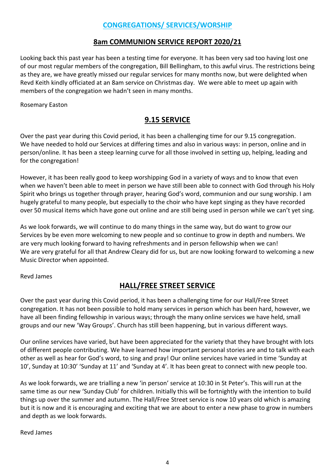## **CONGREGATIONS/ SERVICES/WORSHIP**

## **8am COMMUNION SERVICE REPORT 2020/21**

Looking back this past year has been a testing time for everyone. It has been very sad too having lost one of our most regular members of the congregation, Bill Bellingham, to this awful virus. The restrictions being as they are, we have greatly missed our regular services for many months now, but were delighted when Revd Keith kindly officiated at an 8am service on Christmas day. We were able to meet up again with members of the congregation we hadn't seen in many months.

Rosemary Easton

## **9.15 SERVICE**

Over the past year during this Covid period, it has been a challenging time for our 9.15 congregation. We have needed to hold our Services at differing times and also in various ways: in person, online and in person/online. It has been a steep learning curve for all those involved in setting up, helping, leading and for the congregation!

However, it has been really good to keep worshipping God in a variety of ways and to know that even when we haven't been able to meet in person we have still been able to connect with God through his Holy Spirit who brings us together through prayer, hearing God's word, communion and our sung worship. I am hugely grateful to many people, but especially to the choir who have kept singing as they have recorded over 50 musical items which have gone out online and are still being used in person while we can't yet sing.

As we look forwards, we will continue to do many things in the same way, but do want to grow our Services by be even more welcoming to new people and so continue to grow in depth and numbers. We are very much looking forward to having refreshments and in person fellowship when we can! We are very grateful for all that Andrew Cleary did for us, but are now looking forward to welcoming a new Music Director when appointed.

Revd James

## **HALL/FREE STREET SERVICE**

Over the past year during this Covid period, it has been a challenging time for our Hall/Free Street congregation. It has not been possible to hold many services in person which has been hard, however, we have all been finding fellowship in various ways; through the many online services we have held, small groups and our new 'Way Groups'. Church has still been happening, but in various different ways.

Our online services have varied, but have been appreciated for the variety that they have brought with lots of different people contributing. We have learned how important personal stories are and to talk with each other as well as hear for God's word, to sing and pray! Our online services have varied in time 'Sunday at 10', Sunday at 10:30' 'Sunday at 11' and 'Sunday at 4'. It has been great to connect with new people too.

As we look forwards, we are trialling a new 'in person' service at 10:30 in St Peter's. This will run at the same time as our new 'Sunday Club' for children. Initially this will be fortnightly with the intention to build things up over the summer and autumn. The Hall/Free Street service is now 10 years old which is amazing but it is now and it is encouraging and exciting that we are about to enter a new phase to grow in numbers and depth as we look forwards.

Revd James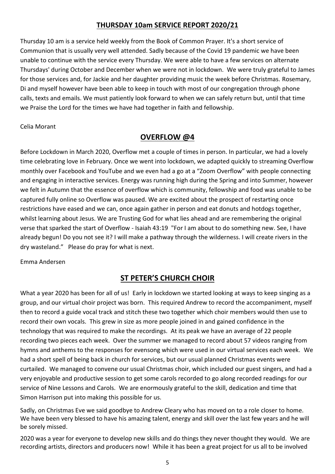## **THURSDAY 10am SERVICE REPORT 2020/21**

Thursday 10 am is a service held weekly from the Book of Common Prayer. It's a short service of Communion that is usually very well attended. Sadly because of the Covid 19 pandemic we have been unable to continue with the service every Thursday. We were able to have a few services on alternate Thursdays' during October and December when we were not in lockdown. We were truly grateful to James for those services and, for Jackie and her daughter providing music the week before Christmas. Rosemary, Di and myself however have been able to keep in touch with most of our congregation through phone calls, texts and emails. We must patiently look forward to when we can safely return but, until that time we Praise the Lord for the times we have had together in faith and fellowship.

Celia Morant

## **OVERFLOW @4**

Before Lockdown in March 2020, Overflow met a couple of times in person. In particular, we had a lovely time celebrating love in February. Once we went into lockdown, we adapted quickly to streaming Overflow monthly over Facebook and YouTube and we even had a go at a "Zoom Overflow" with people connecting and engaging in interactive services. Energy was running high during the Spring and into Summer, however we felt in Autumn that the essence of overflow which is community, fellowship and food was unable to be captured fully online so Overflow was paused. We are excited about the prospect of restarting once restrictions have eased and we can, once again gather in person and eat donuts and hotdogs together, whilst learning about Jesus. We are Trusting God for what lies ahead and are remembering the original verse that sparked the start of Overflow - Isaiah 43:19 "For I am about to do something new. See, I have already begun! Do you not see it? I will make a pathway through the wilderness. I will create rivers in the dry wasteland." Please do pray for what is next.

Emma Andersen

## **ST PETER'S CHURCH CHOIR**

What a year 2020 has been for all of us! Early in lockdown we started looking at ways to keep singing as a group, and our virtual choir project was born. This required Andrew to record the accompaniment, myself then to record a guide vocal track and stitch these two together which choir members would then use to record their own vocals. This grew in size as more people joined in and gained confidence in the technology that was required to make the recordings. At its peak we have an average of 22 people recording two pieces each week. Over the summer we managed to record about 57 videos ranging from hymns and anthems to the responses for evensong which were used in our virtual services each week. We had a short spell of being back in church for services, but our usual planned Christmas events were curtailed. We managed to convene our usual Christmas choir, which included our guest singers, and had a very enjoyable and productive session to get some carols recorded to go along recorded readings for our service of Nine Lessons and Carols. We are enormously grateful to the skill, dedication and time that Simon Harrison put into making this possible for us.

Sadly, on Christmas Eve we said goodbye to Andrew Cleary who has moved on to a role closer to home. We have been very blessed to have his amazing talent, energy and skill over the last few years and he will be sorely missed.

2020 was a year for everyone to develop new skills and do things they never thought they would. We are recording artists, directors and producers now! While it has been a great project for us all to be involved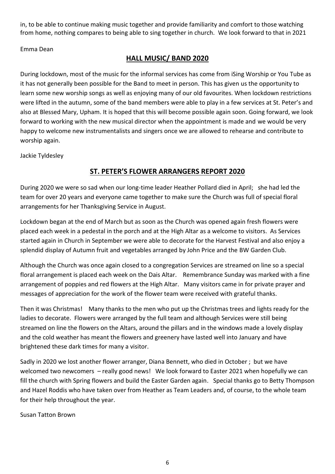in, to be able to continue making music together and provide familiarity and comfort to those watching from home, nothing compares to being able to sing together in church. We look forward to that in 2021

Emma Dean

## **HALL MUSIC/ BAND 2020**

During lockdown, most of the music for the informal services has come from iSing Worship or You Tube as it has not generally been possible for the Band to meet in person. This has given us the opportunity to learn some new worship songs as well as enjoying many of our old favourites. When lockdown restrictions were lifted in the autumn, some of the band members were able to play in a few services at St. Peter's and also at Blessed Mary, Upham. It is hoped that this will become possible again soon. Going forward, we look forward to working with the new musical director when the appointment is made and we would be very happy to welcome new instrumentalists and singers once we are allowed to rehearse and contribute to worship again.

Jackie Tyldesley

## **ST. PETER'S FLOWER ARRANGERS REPORT 2020**

During 2020 we were so sad when our long-time leader Heather Pollard died in April; she had led the team for over 20 years and everyone came together to make sure the Church was full of special floral arrangements for her Thanksgiving Service in August.

Lockdown began at the end of March but as soon as the Church was opened again fresh flowers were placed each week in a pedestal in the porch and at the High Altar as a welcome to visitors. As Services started again in Church in September we were able to decorate for the Harvest Festival and also enjoy a splendid display of Autumn fruit and vegetables arranged by John Price and the BW Garden Club.

Although the Church was once again closed to a congregation Services are streamed on line so a special floral arrangement is placed each week on the Dais Altar. Remembrance Sunday was marked with a fine arrangement of poppies and red flowers at the High Altar. Many visitors came in for private prayer and messages of appreciation for the work of the flower team were received with grateful thanks.

Then it was Christmas! Many thanks to the men who put up the Christmas trees and lights ready for the ladies to decorate. Flowers were arranged by the full team and although Services were still being streamed on line the flowers on the Altars, around the pillars and in the windows made a lovely display and the cold weather has meant the flowers and greenery have lasted well into January and have brightened these dark times for many a visitor.

Sadly in 2020 we lost another flower arranger, Diana Bennett, who died in October ; but we have welcomed two newcomers – really good news! We look forward to Easter 2021 when hopefully we can fill the church with Spring flowers and build the Easter Garden again. Special thanks go to Betty Thompson and Hazel Roddis who have taken over from Heather as Team Leaders and, of course, to the whole team for their help throughout the year.

Susan Tatton Brown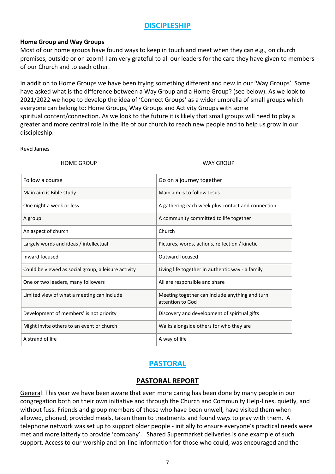## **DISCIPLESHIP**

#### **Home Group and Way Groups**

Most of our home groups have found ways to keep in touch and meet when they can e.g., on church premises, outside or on zoom! I am very grateful to all our leaders for the care they have given to members of our Church and to each other.

In addition to Home Groups we have been trying something different and new in our 'Way Groups'. Some have asked what is the difference between a Way Group and a Home Group? (see below). As we look to 2021/2022 we hope to develop the idea of 'Connect Groups' as a wider umbrella of small groups which everyone can belong to: Home Groups, Way Groups and Activity Groups with some spiritual content/connection. As we look to the future it is likely that small groups will need to play a greater and more central role in the life of our church to reach new people and to help us grow in our discipleship.

#### Revd James

HOME GROUP WAY GROUP

| Follow a course                                     | Go on a journey together                                           |
|-----------------------------------------------------|--------------------------------------------------------------------|
| Main aim is Bible study                             | Main aim is to follow Jesus                                        |
| One night a week or less                            | A gathering each week plus contact and connection                  |
| A group                                             | A community committed to life together                             |
| An aspect of church                                 | Church                                                             |
| Largely words and ideas / intellectual              | Pictures, words, actions, reflection / kinetic                     |
| Inward focused                                      | Outward focused                                                    |
| Could be viewed as social group, a leisure activity | Living life together in authentic way - a family                   |
| One or two leaders, many followers                  | All are responsible and share                                      |
| Limited view of what a meeting can include          | Meeting together can include anything and turn<br>attention to God |
| Development of members' is not priority             | Discovery and development of spiritual gifts                       |
| Might invite others to an event or church           | Walks alongside others for who they are                            |
| A strand of life                                    | A way of life                                                      |

## **PASTORAL**

#### **PASTORAL REPORT**

General: This year we have been aware that even more caring has been done by many people in our congregation both on their own initiative and through the Church and Community Help-lines, quietly, and without fuss. Friends and group members of those who have been unwell, have visited them when allowed, phoned, provided meals, taken them to treatments and found ways to pray with them. A telephone network was set up to support older people - initially to ensure everyone's practical needs were met and more latterly to provide 'company'. Shared Supermarket deliveries is one example of such support. Access to our worship and on-line information for those who could, was encouraged and the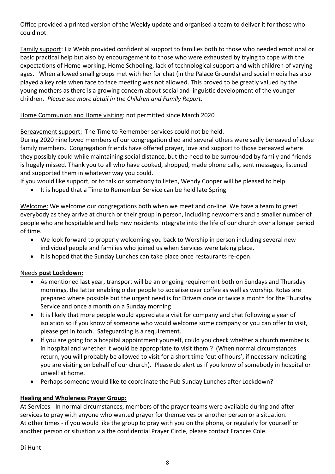Office provided a printed version of the Weekly update and organised a team to deliver it for those who could not.

Family support: Liz Webb provided confidential support to families both to those who needed emotional or basic practical help but also by encouragement to those who were exhausted by trying to cope with the expectations of Home-working, Home Schooling, lack of technological support and with children of varying ages. When allowed small groups met with her for chat (in the Palace Grounds) and social media has also played a key role when face to face meeting was not allowed. This proved to be greatly valued by the young mothers as there is a growing concern about social and linguistic development of the younger children. *Please see more detail in the Children and Family Report.*

#### Home Communion and Home visiting: not permitted since March 2020

#### Bereavement support: The Time to Remember services could not be held.

During 2020 nine loved members of our congregation died and several others were sadly bereaved of close family members. Congregation friends have offered prayer, love and support to those bereaved where they possibly could while maintaining social distance, but the need to be surrounded by family and friends is hugely missed. Thank you to all who have cooked, shopped, made phone calls, sent messages, listened and supported them in whatever way you could.

If you would like support, or to talk or somebody to listen, Wendy Cooper will be pleased to help.

• It is hoped that a Time to Remember Service can be held late Spring

Welcome: We welcome our congregations both when we meet and on-line. We have a team to greet everybody as they arrive at church or their group in person, including newcomers and a smaller number of people who are hospitable and help new residents integrate into the life of our church over a longer period of time.

- We look forward to properly welcoming you back to Worship in person including several new individual people and families who joined us when Services were taking place.
- It is hoped that the Sunday Lunches can take place once restaurants re-open.

#### Needs **post Lockdown:**

- As mentioned last year, transport will be an ongoing requirement both on Sundays and Thursday mornings, the latter enabling older people to socialise over coffee as well as worship. Rotas are prepared where possible but the urgent need is for Drivers once or twice a month for the Thursday Service and once a month on a Sunday morning
- It is likely that more people would appreciate a visit for company and chat following a year of isolation so if you know of someone who would welcome some company or you can offer to visit, please get in touch. Safeguarding is a requirement.
- If you are going for a hospital appointment yourself, could you check whether a church member is in hospital and whether it would be appropriate to visit them.? (When normal circumstances return, you will probably be allowed to visit for a short time 'out of hours', if necessary indicating you are visiting on behalf of our church). Please do alert us if you know of somebody in hospital or unwell at home.
- Perhaps someone would like to coordinate the Pub Sunday Lunches after Lockdown?

#### **Healing and Wholeness Prayer Group:**

At Services - In normal circumstances, members of the prayer teams were available during and after services to pray with anyone who wanted prayer for themselves or another person or a situation. At other times - if you would like the group to pray with you on the phone, or regularly for yourself or another person or situation via the confidential Prayer Circle, please contact Frances Cole.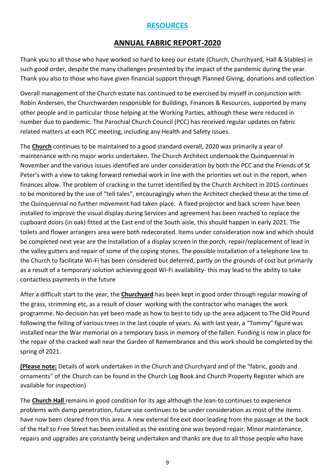## **RESOURCES**

## **ANNUAL FABRIC REPORT-2020**

Thank you to all those who have worked so hard to keep our estate (Church, Churchyard, Hall & Stables) in such good order, despite the many challenges presented by the impact of the pandemic during the year. Thank you also to those who have given financial support through Planned Giving, donations and collection

Overall management of the Church estate has continued to be exercised by myself in conjunction with Robin Andersen, the Churchwarden responsible for Buildings, Finances & Resources, supported by many other people and in particular those helping at the Working Parties, although these were reduced in number due to pandemic. The Parochial Church Council (PCC) has received regular updates on fabric related matters at each PCC meeting, including any Health and Safety issues.

The **Church** continues to be maintained to a good standard overall, 2020 was primarily a year of maintenance with no major works undertaken. The Church Architect undertook the Quinquennial in November and the various issues identified are under consideration by both the PCC and the Friends of St Peter's with a view to taking forward remedial work in line with the priorities set out in the report, when finances allow. The problem of cracking in the turret identified by the Church Architect in 2015 continues to be monitored by the use of "tell tales", encouragingly when the Architect checked these at the time of the Quinquennial no further movement had taken place. A fixed projector and back screen have been installed to improve the visual display during Services and agreement has been reached to replace the cupboard doors (in oak) fitted at the East end of the South aisle, this should happen in early 2021. The toilets and flower arrangers area were both redecorated. Items under consideration now and which should be completed next year are the installation of a display screen in the porch, repair/replacement of lead in the valley gutters and repair of some of the coping stones. The possible installation of a telephone line to the Church to facilitate Wi-Fi has been considered but deferred, partly on the grounds of cost but primarily as a result of a temporary solution achieving good Wi-Fi availability- this may lead to the ability to take contactless payments in the future

After a difficult start to the year, the **Churchyard** has been kept in good order through regular mowing of the grass, strimming etc, as a result of closer working with the contractor who manages the work programme. No decision has yet been made as how to best to tidy up the area adjacent to The Old Pound following the felling of various trees in the last couple of years. As with last year, a "Tommy" figure was installed near the War memorial on a temporary basis in memory of the fallen. Funding is now in place for the repair of the cracked wall near the Garden of Remembrance and this work should be completed by the spring of 2021.

**(Please note:** Details of work undertaken in the Church and Churchyard and of the "fabric, goods and ornaments" of the Church can be found in the Church Log Book and Church Property Register which are available for inspection)

The **Church Hall** remains in good condition for its age although the lean-to continues to experience problems with damp penetration, future use continues to be under consideration as most of the items have now been cleared from this area. A new external fire exit door leading from the passage at the back of the Hall to Free Street has been installed as the existing one was beyond repair. Minor maintenance, repairs and upgrades are constantly being undertaken and thanks are due to all those people who have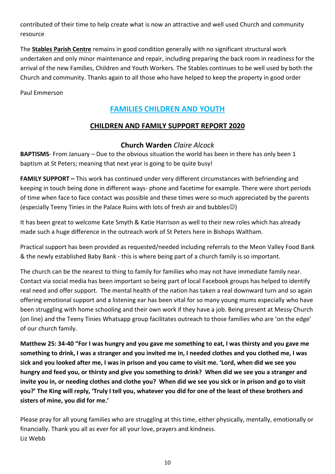contributed of their time to help create what is now an attractive and well used Church and community resource

The **Stables Parish Centre** remains in good condition generally with no significant structural work undertaken and only minor maintenance and repair, including preparing the back room in readiness for the arrival of the new Families, Children and Youth Workers. The Stables continues to be well used by both the Church and community. Thanks again to all those who have helped to keep the property in good order

Paul Emmerson

## **FAMILIES CHILDREN AND YOUTH**

## **CHILDREN AND FAMILY SUPPORT REPORT 2020**

## **Church Warden** *Claire Alcock*

**BAPTISMS**- From January – Due to the obvious situation the world has been in there has only been 1 baptism at St Peters; meaning that next year is going to be quite busy!

**FAMILY SUPPORT** – This work has continued under very different circumstances with befriending and keeping in touch being done in different ways- phone and facetime for example. There were short periods of time when face to face contact was possible and these times were so much appreciated by the parents (especially Teeny Tinies in the Palace Ruins with lots of fresh air and bubbles☺)

It has been great to welcome Kate Smyth & Katie Harrison as well to their new roles which has already made such a huge difference in the outreach work of St Peters here in Bishops Waltham.

Practical support has been provided as requested/needed including referrals to the Meon Valley Food Bank & the newly established Baby Bank - this is where being part of a church family is so important.

The church can be the nearest to thing to family for families who may not have immediate family near. Contact via social media has been important so being part of local Facebook groups has helped to identify real need and offer support. The mental health of the nation has taken a real downward turn and so again offering emotional support and a listening ear has been vital for so many young mums especially who have been struggling with home schooling and their own work if they have a job. Being present at Messy Church (on line) and the Teeny Tinies Whatsapp group facilitates outreach to those families who are 'on the edge' of our church family.

**Matthew 25: 34-40 "For I was hungry and you gave me something to eat, I was thirsty and you gave me something to drink, I was a stranger and you invited me in, I needed clothes and you clothed me, I was sick and you looked after me, I was in prison and you came to visit me. 'Lord, when did we see you hungry and feed you, or thirsty and give you something to drink? When did we see you a stranger and invite you in, or needing clothes and clothe you? When did we see you sick or in prison and go to visit you?' The King will reply, 'Truly I tell you, whatever you did for one of the least of these brothers and sisters of mine, you did for me.'**

Please pray for all young families who are struggling at this time, either physically, mentally, emotionally or financially. Thank you all as ever for all your love, prayers and kindness. Liz Webb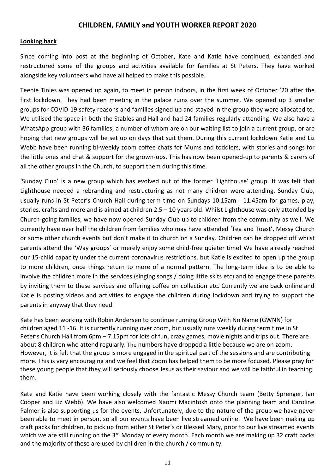#### **CHILDREN, FAMILY and YOUTH WORKER REPORT 2020**

#### **Looking back**

Since coming into post at the beginning of October, Kate and Katie have continued, expanded and restructured some of the groups and activities available for families at St Peters. They have worked alongside key volunteers who have all helped to make this possible.

Teenie Tinies was opened up again, to meet in person indoors, in the first week of October '20 after the first lockdown. They had been meeting in the palace ruins over the summer. We opened up 3 smaller groups for COVID-19 safety reasons and families signed up and stayed in the group they were allocated to. We utilised the space in both the Stables and Hall and had 24 families regularly attending. We also have a WhatsApp group with 36 families, a number of whom are on our waiting list to join a current group, or are hoping that new groups will be set up on days that suit them. During this current lockdown Katie and Liz Webb have been running bi-weekly zoom coffee chats for Mums and toddlers, with stories and songs for the little ones and chat & support for the grown-ups. This has now been opened-up to parents & carers of all the other groups in the Church, to support them during this time.

'Sunday Club' is a new group which has evolved out of the former 'Lighthouse' group. It was felt that Lighthouse needed a rebranding and restructuring as not many children were attending. Sunday Club, usually runs in St Peter's Church Hall during term time on Sundays 10.15am - 11.45am for games, play, stories, crafts and more and is aimed at children 2.5 – 10 years old. Whilst Lighthouse was only attended by Church-going families, we have now opened Sunday Club up to children from the community as well. We currently have over half the children from families who may have attended 'Tea and Toast', Messy Church or some other church events but don't make it to church on a Sunday. Children can be dropped off whilst parents attend the 'Way groups' or merely enjoy some child-free quieter time! We have already reached our 15-child capacity under the current coronavirus restrictions, but Katie is excited to open up the group to more children, once things return to more of a normal pattern. The long-term idea is to be able to involve the children more in the services (singing songs / doing little skits etc) and to engage these parents by inviting them to these services and offering coffee on collection etc. Currently we are back online and Katie is posting videos and activities to engage the children during lockdown and trying to support the parents in anyway that they need.

Kate has been working with Robin Andersen to continue running Group With No Name (GWNN) for children aged 11 -16. It is currently running over zoom, but usually runs weekly during term time in St Peter's Church Hall from 6pm – 7.15pm for lots of fun, crazy games, movie nights and trips out. There are about 8 children who attend regularly. The numbers have dropped a little because we are on zoom. However, it is felt that the group is more engaged in the spiritual part of the sessions and are contributing more. This is very encouraging and we feel that Zoom has helped them to be more focused. Please pray for these young people that they will seriously choose Jesus as their saviour and we will be faithful in teaching them.

Kate and Katie have been working closely with the fantastic Messy Church team (Betty Sprenger, Ian Cooper and Liz Webb). We have also welcomed Naomi Macintosh onto the planning team and Caroline Palmer is also supporting us for the events. Unfortunately, due to the nature of the group we have never been able to meet in person, so all our events have been live streamed online. We have been making up craft packs for children, to pick up from either St Peter's or Blessed Mary, prior to our live streamed events which we are still running on the 3<sup>rd</sup> Monday of every month. Each month we are making up 32 craft packs and the majority of these are used by children in the church / community.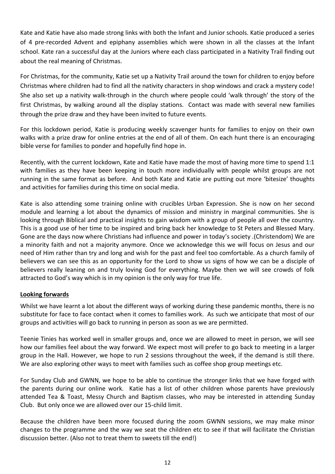Kate and Katie have also made strong links with both the Infant and Junior schools. Katie produced a series of 4 pre-recorded Advent and epiphany assemblies which were shown in all the classes at the Infant school. Kate ran a successful day at the Juniors where each class participated in a Nativity Trail finding out about the real meaning of Christmas.

For Christmas, for the community, Katie set up a Nativity Trail around the town for children to enjoy before Christmas where children had to find all the nativity characters in shop windows and crack a mystery code! She also set up a nativity walk-through in the church where people could 'walk through' the story of the first Christmas, by walking around all the display stations. Contact was made with several new families through the prize draw and they have been invited to future events.

For this lockdown period, Katie is producing weekly scavenger hunts for families to enjoy on their own walks with a prize draw for online entries at the end of all of them. On each hunt there is an encouraging bible verse for families to ponder and hopefully find hope in.

Recently, with the current lockdown, Kate and Katie have made the most of having more time to spend 1:1 with families as they have been keeping in touch more individually with people whilst groups are not running in the same format as before. And both Kate and Katie are putting out more 'bitesize' thoughts and activities for families during this time on social media.

Kate is also attending some training online with crucibles Urban Expression. She is now on her second module and learning a lot about the dynamics of mission and ministry in marginal communities. She is looking through Biblical and practical insights to gain wisdom with a group of people all over the country. This is a good use of her time to be inspired and bring back her knowledge to St Peters and Blessed Mary. Gone are the days now where Christians had influence and power in today's society .(Christendom) We are a minority faith and not a majority anymore. Once we acknowledge this we will focus on Jesus and our need of Him rather than try and long and wish for the past and feel too comfortable. As a church family of believers we can see this as an opportunity for the Lord to show us signs of how we can be a disciple of believers really leaning on and truly loving God for everything. Maybe then we will see crowds of folk attracted to God's way which is in my opinion is the only way for true life.

#### **Looking forwards**

Whilst we have learnt a lot about the different ways of working during these pandemic months, there is no substitute for face to face contact when it comes to families work. As such we anticipate that most of our groups and activities will go back to running in person as soon as we are permitted.

Teenie Tinies has worked well in smaller groups and, once we are allowed to meet in person, we will see how our families feel about the way forward. We expect most will prefer to go back to meeting in a larger group in the Hall. However, we hope to run 2 sessions throughout the week, if the demand is still there. We are also exploring other ways to meet with families such as coffee shop group meetings etc.

For Sunday Club and GWNN, we hope to be able to continue the stronger links that we have forged with the parents during our online work. Katie has a list of other children whose parents have previously attended Tea & Toast, Messy Church and Baptism classes, who may be interested in attending Sunday Club. But only once we are allowed over our 15-child limit.

Because the children have been more focused during the zoom GWNN sessions, we may make minor changes to the programme and the way we seat the children etc to see if that will facilitate the Christian discussion better. (Also not to treat them to sweets till the end!)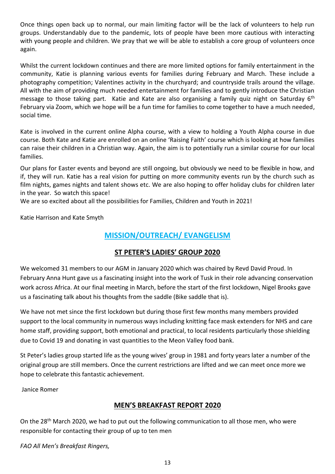Once things open back up to normal, our main limiting factor will be the lack of volunteers to help run groups. Understandably due to the pandemic, lots of people have been more cautious with interacting with young people and children. We pray that we will be able to establish a core group of volunteers once again.

Whilst the current lockdown continues and there are more limited options for family entertainment in the community, Katie is planning various events for families during February and March. These include a photography competition; Valentines activity in the churchyard; and countryside trails around the village. All with the aim of providing much needed entertainment for families and to gently introduce the Christian message to those taking part. Katie and Kate are also organising a family quiz night on Saturday 6<sup>th</sup> February via Zoom, which we hope will be a fun time for families to come together to have a much needed, social time.

Kate is involved in the current online Alpha course, with a view to holding a Youth Alpha course in due course. Both Kate and Katie are enrolled on an online 'Raising Faith' course which is looking at how families can raise their children in a Christian way. Again, the aim is to potentially run a similar course for our local families.

Our plans for Easter events and beyond are still ongoing, but obviously we need to be flexible in how, and if, they will run. Katie has a real vision for putting on more community events run by the church such as film nights, games nights and talent shows etc. We are also hoping to offer holiday clubs for children later in the year. So watch this space!

We are so excited about all the possibilities for Families, Children and Youth in 2021!

Katie Harrison and Kate Smyth

## **MISSION/OUTREACH/ EVANGELISM**

#### **ST PETER'S LADIES' GROUP 2020**

We welcomed 31 members to our AGM in January 2020 which was chaired by Revd David Proud. In February Anna Hunt gave us a fascinating insight into the work of Tusk in their role advancing conservation work across Africa. At our final meeting in March, before the start of the first lockdown, Nigel Brooks gave us a fascinating talk about his thoughts from the saddle (Bike saddle that is).

We have not met since the first lockdown but during those first few months many members provided support to the local community in numerous ways including knitting face mask extenders for NHS and care home staff, providing support, both emotional and practical, to local residents particularly those shielding due to Covid 19 and donating in vast quantities to the Meon Valley food bank.

St Peter's ladies group started life as the young wives' group in 1981 and forty years later a number of the original group are still members. Once the current restrictions are lifted and we can meet once more we hope to celebrate this fantastic achievement.

Janice Romer

#### **MEN'S BREAKFAST REPORT 2020**

On the 28<sup>th</sup> March 2020, we had to put out the following communication to all those men, who were responsible for contacting their group of up to ten men

*FAO All Men's Breakfast Ringers,*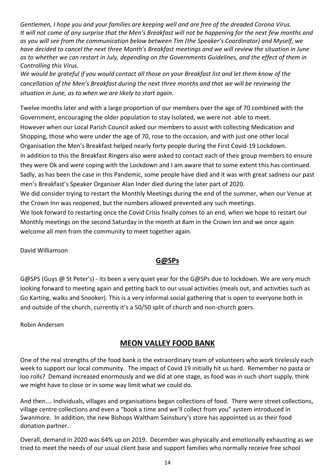*Gentlemen, I hope you and your families are keeping well and are free of the dreaded Corona Virus. It will not come of any surprise that the Men's Breakfast will not be happening for the next few months and as you will see from the communication below between Tim (the Speaker's Coordinator) and Myself, we have decided to cancel the next three Month's Breakfast meetings and we will review the situation in June as to whether we can restart in July, depending on the Governments Guidelines, and the effect of them in Controlling this Virus.*

*We would be grateful if you would contact all those on your Breakfast list and let them know of the cancellation of the Men's Breakfast during the next three months and that we will be reviewing the situation in June, as to when we are likely to start again.*

Twelve months later and with a large proportion of our members over the age of 70 combined with the Government, encouraging the older population to stay Isolated, we were not able to meet. However when our Local Parish Council asked our members to assist with collecting Medication and Shopping, those who were under the age of 70, rose to the occasion, and with just one other local Organisation the Men's Breakfast helped nearly forty people during the First Covid-19 Lockdown. In addition to this the Breakfast Ringers also were asked to contact each of their group members to ensure they were Ok and were coping with the Lockdown and I am aware that to some extent this has continued. Sadly, as has been the case in this Pandemic, some people have died and it was with great sadness our past men's Breakfast's Speaker Organiser Alan Inder died during the later part of 2020.

We did consider trying to restart the Monthly Meetings during the end of the summer, when our Venue at the Crown Inn was reopened, but the numbers allowed prevented any such meetings.

We look forward to restarting once the Covid Crisis finally comes to an end, when we hope to restart our Monthly meetings on the second Saturday in the month at 8am in the Crown Inn and we once again welcome all men from the community to meet together again.

David Williamson

## **G@SPs**

G@SPS (Guys @ St Peter's) - its been a very quiet year for the G@SPs due to lockdown. We are very much looking forward to meeting again and getting back to our usual activities (meals out, and activities such as Go Karting, walks and Snooker). This is a very informal social gathering that is open to everyone both in and outside of the church, currently it's a 50/50 split of church and non-church goers.

Robin Andersen

## **MEON VALLEY FOOD BANK**

One of the real strengths of the food bank is the extraordinary team of volunteers who work tirelessly each week to support our local community. The impact of Covid 19 initially hit us hard. Remember no pasta or loo rolls? Demand increased enormously and we did at one stage, as food was in such short supply, think we might have to close or in some way limit what we could do.

And then…. Individuals, villages and organisations began collections of food. There were street collections, village centre collections and even a "book a time and we'll collect from you" system introduced in Swanmore. In addition, the new Bishops Waltham Sainsbury's store has appointed us as their food donation partner.

Overall, demand in 2020 was 64% up on 2019. December was physically and emotionally exhausting as we tried to meet the needs of our usual client base and support families who normally receive free school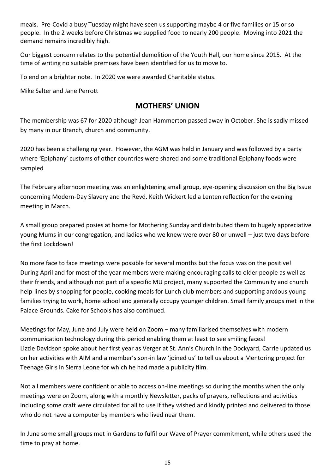meals. Pre-Covid a busy Tuesday might have seen us supporting maybe 4 or five families or 15 or so people. In the 2 weeks before Christmas we supplied food to nearly 200 people. Moving into 2021 the demand remains incredibly high.

Our biggest concern relates to the potential demolition of the Youth Hall, our home since 2015. At the time of writing no suitable premises have been identified for us to move to.

To end on a brighter note. In 2020 we were awarded Charitable status.

Mike Salter and Jane Perrott

## **MOTHERS' UNION**

The membership was 67 for 2020 although Jean Hammerton passed away in October. She is sadly missed by many in our Branch, church and community.

2020 has been a challenging year. However, the AGM was held in January and was followed by a party where 'Epiphany' customs of other countries were shared and some traditional Epiphany foods were sampled

The February afternoon meeting was an enlightening small group, eye-opening discussion on the Big Issue concerning Modern-Day Slavery and the Revd. Keith Wickert led a Lenten reflection for the evening meeting in March.

A small group prepared posies at home for Mothering Sunday and distributed them to hugely appreciative young Mums in our congregation, and ladies who we knew were over 80 or unwell – just two days before the first Lockdown!

No more face to face meetings were possible for several months but the focus was on the positive! During April and for most of the year members were making encouraging calls to older people as well as their friends, and although not part of a specific MU project, many supported the Community and church help-lines by shopping for people, cooking meals for Lunch club members and supporting anxious young families trying to work, home school and generally occupy younger children. Small family groups met in the Palace Grounds. Cake for Schools has also continued.

Meetings for May, June and July were held on Zoom – many familiarised themselves with modern communication technology during this period enabling them at least to see smiling faces! Lizzie Davidson spoke about her first year as Verger at St. Ann's Church in the Dockyard, Carrie updated us on her activities with AIM and a member's son-in law 'joined us' to tell us about a Mentoring project for Teenage Girls in Sierra Leone for which he had made a publicity film.

Not all members were confident or able to access on-line meetings so during the months when the only meetings were on Zoom, along with a monthly Newsletter, packs of prayers, reflections and activities including some craft were circulated for all to use if they wished and kindly printed and delivered to those who do not have a computer by members who lived near them.

In June some small groups met in Gardens to fulfil our Wave of Prayer commitment, while others used the time to pray at home.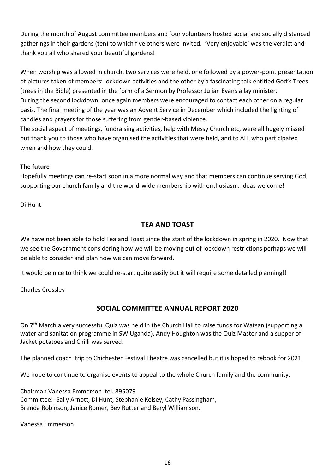During the month of August committee members and four volunteers hosted social and socially distanced gatherings in their gardens (ten) to which five others were invited. 'Very enjoyable' was the verdict and thank you all who shared your beautiful gardens!

When worship was allowed in church, two services were held, one followed by a power-point presentation of pictures taken of members' lockdown activities and the other by a fascinating talk entitled God's Trees (trees in the Bible) presented in the form of a Sermon by Professor Julian Evans a lay minister. During the second lockdown, once again members were encouraged to contact each other on a regular basis. The final meeting of the year was an Advent Service in December which included the lighting of candles and prayers for those suffering from gender-based violence.

The social aspect of meetings, fundraising activities, help with Messy Church etc, were all hugely missed but thank you to those who have organised the activities that were held, and to ALL who participated when and how they could.

#### **The future**

Hopefully meetings can re-start soon in a more normal way and that members can continue serving God, supporting our church family and the world-wide membership with enthusiasm. Ideas welcome!

Di Hunt

## **TEA AND TOAST**

We have not been able to hold Tea and Toast since the start of the lockdown in spring in 2020. Now that we see the Government considering how we will be moving out of lockdown restrictions perhaps we will be able to consider and plan how we can move forward.

It would be nice to think we could re-start quite easily but it will require some detailed planning!!

Charles Crossley

## **SOCIAL COMMITTEE ANNUAL REPORT 2020**

On 7<sup>th</sup> March a very successful Quiz was held in the Church Hall to raise funds for Watsan (supporting a water and sanitation programme in SW Uganda). Andy Houghton was the Quiz Master and a supper of Jacket potatoes and Chilli was served.

The planned coach trip to Chichester Festival Theatre was cancelled but it is hoped to rebook for 2021.

We hope to continue to organise events to appeal to the whole Church family and the community.

Chairman Vanessa Emmerson tel. 895079 Committee:- Sally Arnott, Di Hunt, Stephanie Kelsey, Cathy Passingham, Brenda Robinson, Janice Romer, Bev Rutter and Beryl Williamson.

Vanessa Emmerson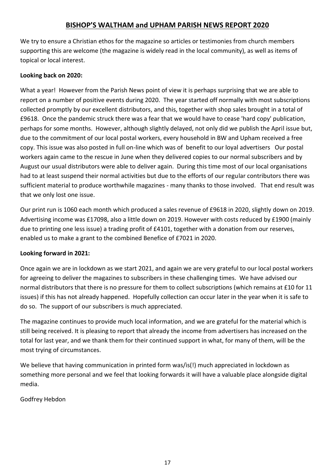## **BISHOP'S WALTHAM and UPHAM PARISH NEWS REPORT 2020**

We try to ensure a Christian ethos for the magazine so articles or testimonies from church members supporting this are welcome (the magazine is widely read in the local community), as well as items of topical or local interest.

#### **Looking back on 2020:**

What a year! However from the Parish News point of view it is perhaps surprising that we are able to report on a number of positive events during 2020. The year started off normally with most subscriptions collected promptly by our excellent distributors, and this, together with shop sales brought in a total of £9618. Once the pandemic struck there was a fear that we would have to cease 'hard copy' publication, perhaps for some months. However, although slightly delayed, not only did we publish the April issue but, due to the commitment of our local postal workers, every household in BW and Upham received a free copy. This issue was also posted in full on-line which was of benefit to our loyal advertisers Our postal workers again came to the rescue in June when they delivered copies to our normal subscribers and by August our usual distributors were able to deliver again. During this time most of our local organisations had to at least suspend their normal activities but due to the efforts of our regular contributors there was sufficient material to produce worthwhile magazines - many thanks to those involved. That end result was that we only lost one issue.

Our print run is 1060 each month which produced a sales revenue of £9618 in 2020, slightly down on 2019. Advertising income was £17098, also a little down on 2019. However with costs reduced by £1900 (mainly due to printing one less issue) a trading profit of £4101, together with a donation from our reserves, enabled us to make a grant to the combined Benefice of £7021 in 2020.

#### **Looking forward in 2021:**

Once again we are in lockdown as we start 2021, and again we are very grateful to our local postal workers for agreeing to deliver the magazines to subscribers in these challenging times. We have advised our normal distributors that there is no pressure for them to collect subscriptions (which remains at £10 for 11 issues) if this has not already happened. Hopefully collection can occur later in the year when it is safe to do so. The support of our subscribers is much appreciated.

The magazine continues to provide much local information, and we are grateful for the material which is still being received. It is pleasing to report that already the income from advertisers has increased on the total for last year, and we thank them for their continued support in what, for many of them, will be the most trying of circumstances.

We believe that having communication in printed form was/is(!) much appreciated in lockdown as something more personal and we feel that looking forwards it will have a valuable place alongside digital media.

#### Godfrey Hebdon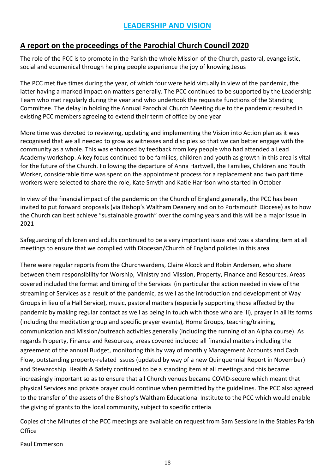## **A report on the proceedings of the Parochial Church Council 2020**

The role of the PCC is to promote in the Parish the whole Mission of the Church, pastoral, evangelistic, social and ecumenical through helping people experience the joy of knowing Jesus

The PCC met five times during the year, of which four were held virtually in view of the pandemic, the latter having a marked impact on matters generally. The PCC continued to be supported by the Leadership Team who met regularly during the year and who undertook the requisite functions of the Standing Committee. The delay in holding the Annual Parochial Church Meeting due to the pandemic resulted in existing PCC members agreeing to extend their term of office by one year

More time was devoted to reviewing, updating and implementing the Vision into Action plan as it was recognised that we all needed to grow as witnesses and disciples so that we can better engage with the community as a whole. This was enhanced by feedback from key people who had attended a Lead Academy workshop. A key focus continued to be families, children and youth as growth in this area is vital for the future of the Church. Following the departure of Anna Hartwell, the Families, Children and Youth Worker, considerable time was spent on the appointment process for a replacement and two part time workers were selected to share the role, Kate Smyth and Katie Harrison who started in October

In view of the financial impact of the pandemic on the Church of England generally, the PCC has been invited to put forward proposals (via Bishop's Waltham Deanery and on to Portsmouth Diocese) as to how the Church can best achieve "sustainable growth" over the coming years and this will be a major issue in 2021

Safeguarding of children and adults continued to be a very important issue and was a standing item at all meetings to ensure that we complied with Diocesan/Church of England policies in this area

There were regular reports from the Churchwardens, Claire Alcock and Robin Andersen, who share between them responsibility for Worship, Ministry and Mission, Property, Finance and Resources. Areas covered included the format and timing of the Services (in particular the action needed in view of the streaming of Services as a result of the pandemic, as well as the introduction and development of Way Groups in lieu of a Hall Service), music, pastoral matters (especially supporting those affected by the pandemic by making regular contact as well as being in touch with those who are ill), prayer in all its forms (including the meditation group and specific prayer events), Home Groups, teaching/training, communication and Mission/outreach activities generally (including the running of an Alpha course). As regards Property, Finance and Resources, areas covered included all financial matters including the agreement of the annual Budget, monitoring this by way of monthly Management Accounts and Cash Flow, outstanding property-related issues (updated by way of a new Quinquennial Report in November) and Stewardship. Health & Safety continued to be a standing item at all meetings and this became increasingly important so as to ensure that all Church venues became COVID-secure which meant that physical Services and private prayer could continue when permitted by the guidelines. The PCC also agreed to the transfer of the assets of the Bishop's Waltham Educational Institute to the PCC which would enable the giving of grants to the local community, subject to specific criteria

Copies of the Minutes of the PCC meetings are available on request from Sam Sessions in the Stables Parish **Office** 

Paul Emmerson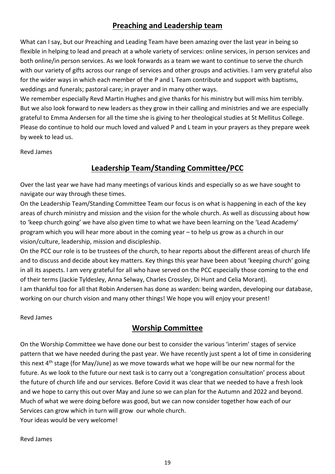## **Preaching and Leadership team**

What can I say, but our Preaching and Leading Team have been amazing over the last year in being so flexible in helping to lead and preach at a whole variety of services: online services, in person services and both online/in person services. As we look forwards as a team we want to continue to serve the church with our variety of gifts across our range of services and other groups and activities. I am very grateful also for the wider ways in which each member of the P and L Team contribute and support with baptisms, weddings and funerals; pastoral care; in prayer and in many other ways.

We remember especially Revd Martin Hughes and give thanks for his ministry but will miss him terribly. But we also look forward to new leaders as they grow in their calling and ministries and we are especially grateful to Emma Andersen for all the time she is giving to her theological studies at St Mellitus College. Please do continue to hold our much loved and valued P and L team in your prayers as they prepare week by week to lead us.

Revd James

## **Leadership Team/Standing Committee/PCC**

Over the last year we have had many meetings of various kinds and especially so as we have sought to navigate our way through these times.

On the Leadership Team/Standing Committee Team our focus is on what is happening in each of the key areas of church ministry and mission and the vision for the whole church. As well as discussing about how to 'keep church going' we have also given time to what we have been learning on the 'Lead Academy' program which you will hear more about in the coming year – to help us grow as a church in our vision/culture, leadership, mission and discipleship.

On the PCC our role is to be trustees of the church, to hear reports about the different areas of church life and to discuss and decide about key matters. Key things this year have been about 'keeping church' going in all its aspects. I am very grateful for all who have served on the PCC especially those coming to the end of their terms (Jackie Tyldesley, Anna Selway, Charles Crossley, Di Hunt and Celia Morant). I am thankful too for all that Robin Andersen has done as warden: being warden, developing our database,

working on our church vision and many other things! We hope you will enjoy your present!

Revd James

## **Worship Committee**

On the Worship Committee we have done our best to consider the various 'interim' stages of service pattern that we have needed during the past year. We have recently just spent a lot of time in considering this next  $4<sup>th</sup>$  stage (for May/June) as we move towards what we hope will be our new normal for the future. As we look to the future our next task is to carry out a 'congregation consultation' process about the future of church life and our services. Before Covid it was clear that we needed to have a fresh look and we hope to carry this out over May and June so we can plan for the Autumn and 2022 and beyond. Much of what we were doing before was good, but we can now consider together how each of our Services can grow which in turn will grow our whole church. Your ideas would be very welcome!

Revd James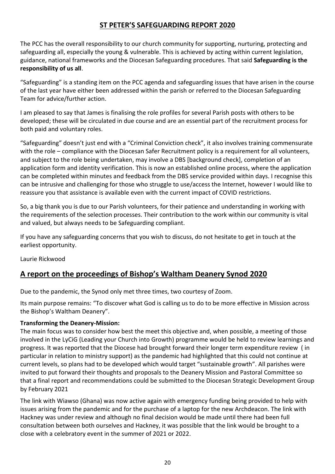## **ST PETER'S SAFEGUARDING REPORT 2020**

The PCC has the overall responsibility to our church community for supporting, nurturing, protecting and safeguarding all, especially the young & vulnerable. This is achieved by acting within current legislation, guidance, national frameworks and the Diocesan Safeguarding procedures. That said **Safeguarding is the responsibility of us all**.

"Safeguarding" is a standing item on the PCC agenda and safeguarding issues that have arisen in the course of the last year have either been addressed within the parish or referred to the Diocesan Safeguarding Team for advice/further action.

I am pleased to say that James is finalising the role profiles for several Parish posts with others to be developed; these will be circulated in due course and are an essential part of the recruitment process for both paid and voluntary roles.

"Safeguarding" doesn't just end with a "Criminal Conviction check", it also involves training commensurate with the role – compliance with the Diocesan Safer Recruitment policy is a requirement for all volunteers, and subject to the role being undertaken, may involve a DBS [background check], completion of an application form and identity verification. This is now an established online process, where the application can be completed within minutes and feedback from the DBS service provided within days. I recognise this can be intrusive and challenging for those who struggle to use/access the Internet, however I would like to reassure you that assistance is available even with the current impact of COVID restrictions.

So, a big thank you is due to our Parish volunteers, for their patience and understanding in working with the requirements of the selection processes. Their contribution to the work within our community is vital and valued, but always needs to be Safeguarding compliant.

If you have any safeguarding concerns that you wish to discuss, do not hesitate to get in touch at the earliest opportunity.

Laurie Rickwood

## **A report on the proceedings of Bishop's Waltham Deanery Synod 2020**

Due to the pandemic, the Synod only met three times, two courtesy of Zoom.

Its main purpose remains: "To discover what God is calling us to do to be more effective in Mission across the Bishop's Waltham Deanery".

#### **Transforming the Deanery-Mission:**

The main focus was to consider how best the meet this objective and, when possible, a meeting of those involved in the LyCiG (Leading your Church into Growth) programme would be held to review learnings and progress. It was reported that the Diocese had brought forward their longer term expenditure review ( in particular in relation to ministry support) as the pandemic had highlighted that this could not continue at current levels, so plans had to be developed which would target "sustainable growth". All parishes were invited to put forward their thoughts and proposals to the Deanery Mission and Pastoral Committee so that a final report and recommendations could be submitted to the Diocesan Strategic Development Group by February 2021

The link with Wiawso (Ghana) was now active again with emergency funding being provided to help with issues arising from the pandemic and for the purchase of a laptop for the new Archdeacon. The link with Hackney was under review and although no final decision would be made until there had been full consultation between both ourselves and Hackney, it was possible that the link would be brought to a close with a celebratory event in the summer of 2021 or 2022.